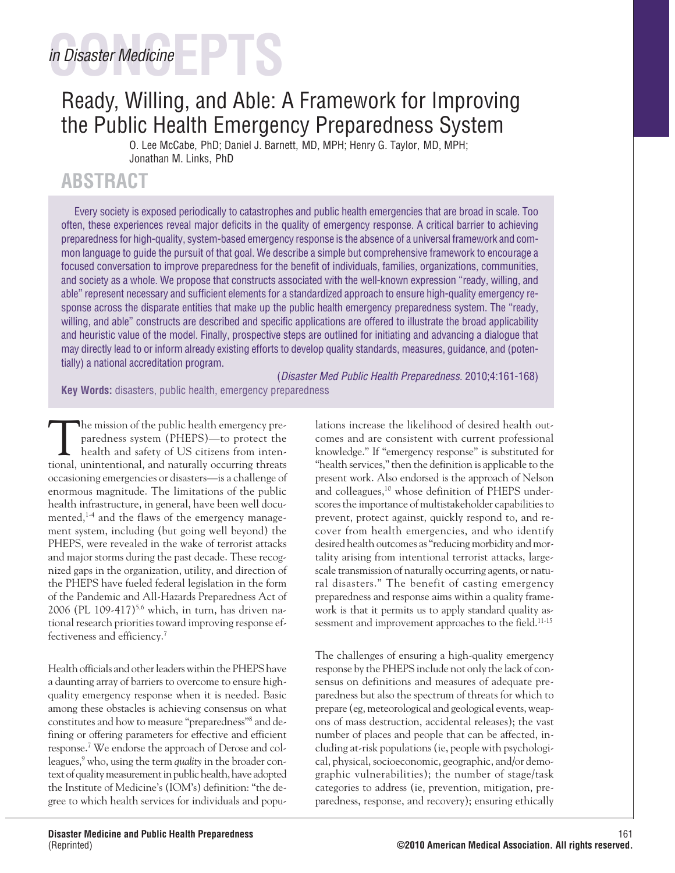

## Ready, Willing, and Able: A Framework for Improving the Public Health Emergency Preparedness System

O. Lee McCabe, PhD; Daniel J. Barnett, MD, MPH; Henry G. Taylor, MD, MPH; Jonathan M. Links, PhD

### **ABSTRACT**

Every society is exposed periodically to catastrophes and public health emergencies that are broad in scale. Too often, these experiences reveal major deficits in the quality of emergency response. A critical barrier to achieving preparedness for high-quality, system-based emergency response is the absence of a universal framework and common language to guide the pursuit of that goal. We describe a simple but comprehensive framework to encourage a focused conversation to improve preparedness for the benefit of individuals, families, organizations, communities, and society as a whole. We propose that constructs associated with the well-known expression "ready, willing, and able" represent necessary and sufficient elements for a standardized approach to ensure high-quality emergency response across the disparate entities that make up the public health emergency preparedness system. The "ready, willing, and able" constructs are described and specific applications are offered to illustrate the broad applicability and heuristic value of the model. Finally, prospective steps are outlined for initiating and advancing a dialogue that may directly lead to or inform already existing efforts to develop quality standards, measures, guidance, and (potentially) a national accreditation program.

(*Disaster Med Public Health Preparedness.* 2010;4:161-168)

**Key Words:** disasters, public health, emergency preparedness

The mission of the public health emergency pre-<br>
paredness system (PHEPS)—to protect the<br>
health and safety of US citizens from inten-<br>
tional unintentional and naturally occurring threats paredness system (PHEPS)—to protect the tional, unintentional, and naturally occurring threats occasioning emergencies or disasters—is a challenge of enormous magnitude. The limitations of the public health infrastructure, in general, have been well documented,<sup>14</sup> and the flaws of the emergency management system, including (but going well beyond) the PHEPS, were revealed in the wake of terrorist attacks and major storms during the past decade. These recognized gaps in the organization, utility, and direction of the PHEPS have fueled federal legislation in the form of the Pandemic and All-Hazards Preparedness Act of 2006 (PL 109-417)<sup>5,6</sup> which, in turn, has driven national research priorities toward improving response effectiveness and efficiency.7

Health officials and other leaders within the PHEPS have a daunting array of barriers to overcome to ensure highquality emergency response when it is needed. Basic among these obstacles is achieving consensus on what constitutes and how to measure "preparedness"8 and defining or offering parameters for effective and efficient response.7 We endorse the approach of Derose and colleagues,<sup>9</sup> who, using the term *quality* in the broader context of quality measurement in public health, have adopted the Institute of Medicine's (IOM's) definition: "the degree to which health services for individuals and populations increase the likelihood of desired health outcomes and are consistent with current professional knowledge." If "emergency response" is substituted for "health services," then the definition is applicable to the present work. Also endorsed is the approach of Nelson and colleagues,10 whose definition of PHEPS underscores the importance of multistakeholder capabilities to prevent, protect against, quickly respond to, and recover from health emergencies, and who identify desired health outcomes as "reducing morbidity and mortality arising from intentional terrorist attacks, largescale transmission of naturally occurring agents, or natural disasters." The benefit of casting emergency preparedness and response aims within a quality framework is that it permits us to apply standard quality assessment and improvement approaches to the field.<sup>11-15</sup>

The challenges of ensuring a high-quality emergency response by the PHEPS include not only the lack of consensus on definitions and measures of adequate preparedness but also the spectrum of threats for which to prepare (eg, meteorological and geological events, weapons of mass destruction, accidental releases); the vast number of places and people that can be affected, including at-risk populations (ie, people with psychological, physical, socioeconomic, geographic, and/or demographic vulnerabilities); the number of stage/task categories to address (ie, prevention, mitigation, preparedness, response, and recovery); ensuring ethically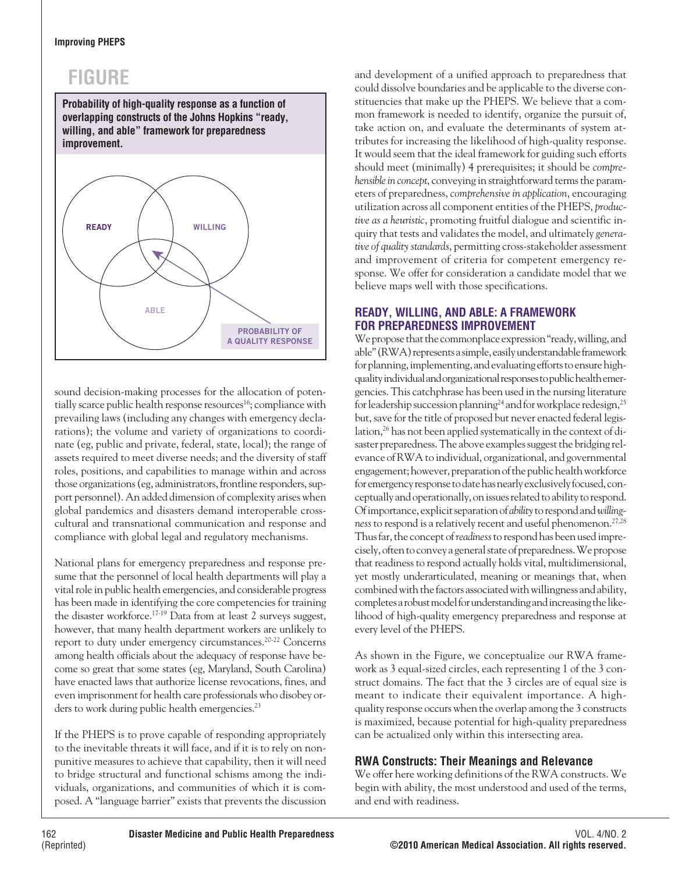#### **Improving PHEPS**

## **FIGURE**

**ABLE READY WILLING PROBABILITY OF A QUALITY RESPONSE Probability of high-quality response as a function of overlapping constructs of the Johns Hopkins "ready, willing, and able" framework for preparedness improvement.**

sound decision-making processes for the allocation of potentially scarce public health response resources<sup>16</sup>; compliance with prevailing laws (including any changes with emergency declarations); the volume and variety of organizations to coordinate (eg, public and private, federal, state, local); the range of assets required to meet diverse needs; and the diversity of staff roles, positions, and capabilities to manage within and across those organizations (eg, administrators, frontline responders, support personnel). An added dimension of complexity arises when global pandemics and disasters demand interoperable crosscultural and transnational communication and response and compliance with global legal and regulatory mechanisms.

National plans for emergency preparedness and response presume that the personnel of local health departments will play a vital role in public health emergencies, and considerable progress has been made in identifying the core competencies for training the disaster workforce.17-19 Data from at least 2 surveys suggest, however, that many health department workers are unlikely to report to duty under emergency circumstances.20-22 Concerns among health officials about the adequacy of response have become so great that some states (eg, Maryland, South Carolina) have enacted laws that authorize license revocations, fines, and even imprisonment for health care professionals who disobey orders to work during public health emergencies.<sup>23</sup>

If the PHEPS is to prove capable of responding appropriately to the inevitable threats it will face, and if it is to rely on nonpunitive measures to achieve that capability, then it will need to bridge structural and functional schisms among the individuals, organizations, and communities of which it is composed. A "language barrier" exists that prevents the discussion

and development of a unified approach to preparedness that could dissolve boundaries and be applicable to the diverse constituencies that make up the PHEPS. We believe that a common framework is needed to identify, organize the pursuit of, take action on, and evaluate the determinants of system attributes for increasing the likelihood of high-quality response. It would seem that the ideal framework for guiding such efforts should meet (minimally) 4 prerequisites; it should be *comprehensible in concept*, conveying in straightforward terms the parameters of preparedness, *comprehensive in application*, encouraging utilization across all component entities of the PHEPS, *productive as a heuristic*, promoting fruitful dialogue and scientific inquiry that tests and validates the model, and ultimately *generative of quality standards*, permitting cross-stakeholder assessment and improvement of criteria for competent emergency response. We offer for consideration a candidate model that we believe maps well with those specifications.

### **READY, WILLING, AND ABLE: A FRAMEWORK FOR PREPAREDNESS IMPROVEMENT**

We propose that the commonplace expression "ready, willing, and able" (RWA) represents a simple, easily understandable framework for planning, implementing, and evaluating efforts to ensure highqualityindividualandorganizationalresponsestopublichealthemergencies. This catchphrase has been used in the nursing literature for leadership succession planning<sup>24</sup> and for workplace redesign,<sup>25</sup> but, save for the title of proposed but never enacted federal legislation,<sup>26</sup> has not been applied systematically in the context of disaster preparedness. The above examples suggest the bridging relevance of RWA to individual, organizational, and governmental engagement; however, preparation of the public healthworkforce for emergency response to date has nearly exclusively focused, conceptually and operationally, on issues related to ability to respond. Ofimportance, explicit separation of *ability* to respond and*willingness* to respond is a relatively recent and useful phenomenon.27,28 Thus far, the concept of*readiness*to respond has been used imprecisely, often to convey a general state of preparedness.We propose that readiness to respond actually holds vital, multidimensional, yet mostly underarticulated, meaning or meanings that, when combined with the factors associated with willingness and ability, completes a robust model for understanding and increasing the likelihood of high-quality emergency preparedness and response at every level of the PHEPS.

As shown in the Figure, we conceptualize our RWA framework as 3 equal-sized circles, each representing 1 of the 3 construct domains. The fact that the 3 circles are of equal size is meant to indicate their equivalent importance. A highquality response occurs when the overlap among the 3 constructs is maximized, because potential for high-quality preparedness can be actualized only within this intersecting area.

### **RWA Constructs: Their Meanings and Relevance**

We offer here working definitions of the RWA constructs. We begin with ability, the most understood and used of the terms, and end with readiness.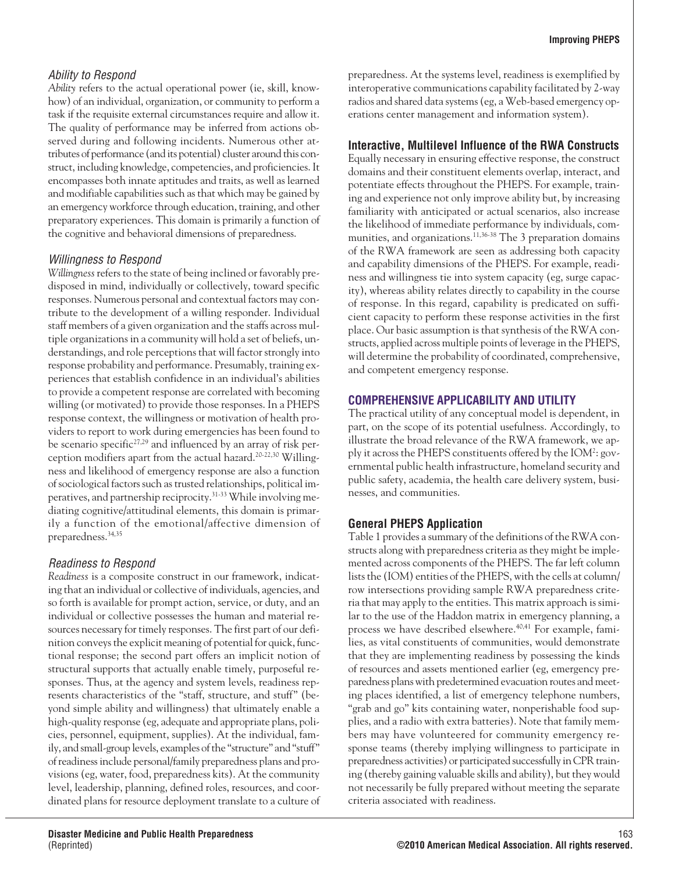### *Ability to Respond*

*Ability* refers to the actual operational power (ie, skill, knowhow) of an individual, organization, or community to perform a task if the requisite external circumstances require and allow it. The quality of performance may be inferred from actions observed during and following incidents. Numerous other attributes of performance (and its potential) cluster around this construct, including knowledge, competencies, and proficiencies. It encompasses both innate aptitudes and traits, as well as learned and modifiable capabilities such as that which may be gained by an emergency workforce through education, training, and other preparatory experiences. This domain is primarily a function of the cognitive and behavioral dimensions of preparedness.

### *Willingness to Respond*

*Willingness* refers to the state of being inclined or favorably predisposed in mind, individually or collectively, toward specific responses. Numerous personal and contextual factors may contribute to the development of a willing responder. Individual staff members of a given organization and the staffs across multiple organizations in a community will hold a set of beliefs, understandings, and role perceptions that will factor strongly into response probability and performance. Presumably, training experiences that establish confidence in an individual's abilities to provide a competent response are correlated with becoming willing (or motivated) to provide those responses. In a PHEPS response context, the willingness or motivation of health providers to report to work during emergencies has been found to be scenario specific<sup> $27,29$ </sup> and influenced by an array of risk perception modifiers apart from the actual hazard.20-22,30 Willingness and likelihood of emergency response are also a function of sociological factors such as trusted relationships, political imperatives, and partnership reciprocity.31-33 While involving mediating cognitive/attitudinal elements, this domain is primarily a function of the emotional/affective dimension of preparedness.34,35

### *Readiness to Respond*

*Readiness* is a composite construct in our framework, indicating that an individual or collective of individuals, agencies, and so forth is available for prompt action, service, or duty, and an individual or collective possesses the human and material resources necessary for timely responses. The first part of our definition conveys the explicit meaning of potential for quick, functional response; the second part offers an implicit notion of structural supports that actually enable timely, purposeful responses. Thus, at the agency and system levels, readiness represents characteristics of the "staff, structure, and stuff" (beyond simple ability and willingness) that ultimately enable a high-quality response (eg, adequate and appropriate plans, policies, personnel, equipment, supplies). At the individual, family, and small-group levels, examples of the "structure" and "stuff" of readiness include personal/family preparedness plans and provisions (eg, water, food, preparedness kits). At the community level, leadership, planning, defined roles, resources, and coordinated plans for resource deployment translate to a culture of preparedness. At the systems level, readiness is exemplified by interoperative communications capability facilitated by 2-way radios and shared data systems (eg, a Web-based emergency operations center management and information system).

### **Interactive, Multilevel Influence of the RWA Constructs**

Equally necessary in ensuring effective response, the construct domains and their constituent elements overlap, interact, and potentiate effects throughout the PHEPS. For example, training and experience not only improve ability but, by increasing familiarity with anticipated or actual scenarios, also increase the likelihood of immediate performance by individuals, communities, and organizations.<sup>11,36-38</sup> The 3 preparation domains of the RWA framework are seen as addressing both capacity and capability dimensions of the PHEPS. For example, readiness and willingness tie into system capacity (eg, surge capacity), whereas ability relates directly to capability in the course of response. In this regard, capability is predicated on sufficient capacity to perform these response activities in the first place. Our basic assumption is that synthesis of the RWA constructs, applied across multiple points of leverage in the PHEPS, will determine the probability of coordinated, comprehensive, and competent emergency response.

### **COMPREHENSIVE APPLICABILITY AND UTILITY**

The practical utility of any conceptual model is dependent, in part, on the scope of its potential usefulness. Accordingly, to illustrate the broad relevance of the RWA framework, we apply it across the PHEPS constituents offered by the IOM<sup>2</sup>: governmental public health infrastructure, homeland security and public safety, academia, the health care delivery system, businesses, and communities.

### **General PHEPS Application**

Table 1 provides a summary of the definitions of the RWA constructs along with preparedness criteria as they might be implemented across components of the PHEPS. The far left column lists the (IOM) entities of the PHEPS, with the cells at column/ row intersections providing sample RWA preparedness criteria that may apply to the entities. This matrix approach is similar to the use of the Haddon matrix in emergency planning, a process we have described elsewhere.<sup>40,41</sup> For example, families, as vital constituents of communities, would demonstrate that they are implementing readiness by possessing the kinds of resources and assets mentioned earlier (eg, emergency preparedness plans with predetermined evacuation routes and meeting places identified, a list of emergency telephone numbers, "grab and go" kits containing water, nonperishable food supplies, and a radio with extra batteries). Note that family members may have volunteered for community emergency response teams (thereby implying willingness to participate in preparedness activities) or participated successfully in CPR training (thereby gaining valuable skills and ability), but they would not necessarily be fully prepared without meeting the separate criteria associated with readiness.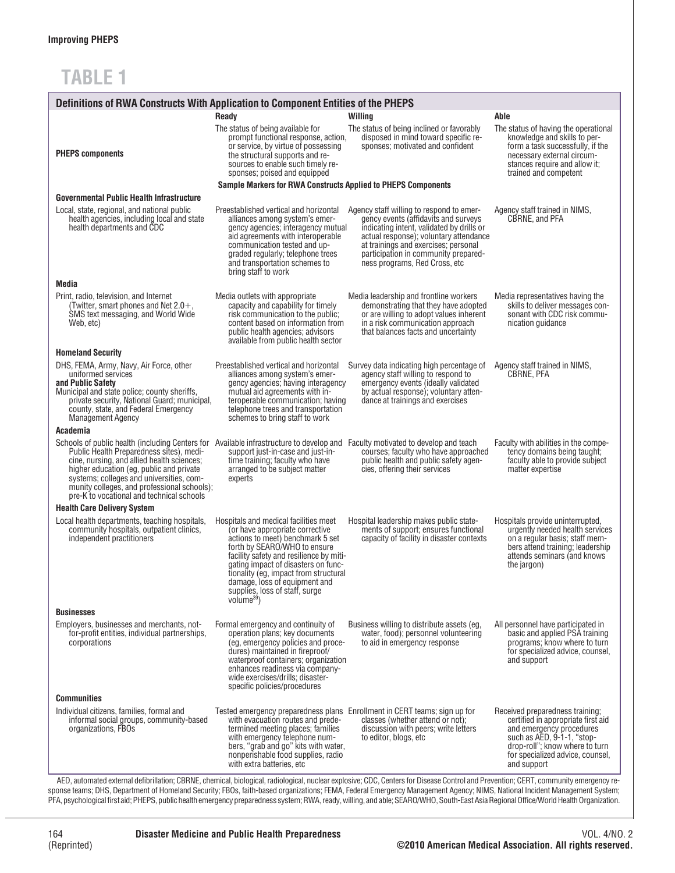## **TABLE 1**

| Definitions of RWA Constructs With Application to Component Entities of the PHEPS                                                                                                                                                                                                                                                                                                                            |                                                                                                                                                                                                                                                                                                                                                                      |                                                                                                                                                                                                                                                                                          |                                                                                                                                                                                                                      |  |  |
|--------------------------------------------------------------------------------------------------------------------------------------------------------------------------------------------------------------------------------------------------------------------------------------------------------------------------------------------------------------------------------------------------------------|----------------------------------------------------------------------------------------------------------------------------------------------------------------------------------------------------------------------------------------------------------------------------------------------------------------------------------------------------------------------|------------------------------------------------------------------------------------------------------------------------------------------------------------------------------------------------------------------------------------------------------------------------------------------|----------------------------------------------------------------------------------------------------------------------------------------------------------------------------------------------------------------------|--|--|
|                                                                                                                                                                                                                                                                                                                                                                                                              | <b>Ready</b>                                                                                                                                                                                                                                                                                                                                                         | Willing                                                                                                                                                                                                                                                                                  | Able                                                                                                                                                                                                                 |  |  |
| <b>PHEPS components</b>                                                                                                                                                                                                                                                                                                                                                                                      | The status of being available for<br>prompt functional response, action,<br>or service, by virtue of possessing<br>the structural supports and re-<br>sources to enable such timely re-<br>sponses; poised and equipped                                                                                                                                              | The status of being inclined or favorably<br>disposed in mind toward specific re-<br>sponses; motivated and confident                                                                                                                                                                    | The status of having the operational<br>knowledge and skills to per-<br>form a task successfully, if the<br>necessary external circum-<br>stances require and allow it;<br>trained and competent                     |  |  |
|                                                                                                                                                                                                                                                                                                                                                                                                              | Sample Markers for RWA Constructs Applied to PHEPS Components                                                                                                                                                                                                                                                                                                        |                                                                                                                                                                                                                                                                                          |                                                                                                                                                                                                                      |  |  |
| <b>Governmental Public Health Infrastructure</b>                                                                                                                                                                                                                                                                                                                                                             |                                                                                                                                                                                                                                                                                                                                                                      |                                                                                                                                                                                                                                                                                          |                                                                                                                                                                                                                      |  |  |
| Local, state, regional, and national public<br>health agencies, including local and state<br>health departments and CDC                                                                                                                                                                                                                                                                                      | Preestablished vertical and horizontal<br>alliances among system's emer-<br>gency agencies; interagency mutual<br>aid agreements with interoperable<br>communication tested and up-<br>graded regularly; telephone trees<br>and transportation schemes to<br>bring staff to work                                                                                     | Agency staff willing to respond to emer-<br>gency events (affidavits and surveys<br>indicating intent, validated by drills or<br>actual response); voluntary attendance<br>at trainings and exercises; personal<br>participation in community prepared-<br>ness programs, Red Cross, etc | Agency staff trained in NIMS,<br>CBRNE, and PFA                                                                                                                                                                      |  |  |
| Media                                                                                                                                                                                                                                                                                                                                                                                                        |                                                                                                                                                                                                                                                                                                                                                                      |                                                                                                                                                                                                                                                                                          |                                                                                                                                                                                                                      |  |  |
| Print, radio, television, and Internet<br>(Twitter, smart phones and Net 2.0+,<br>SMS text messaging, and World Wide<br>Web, etc)                                                                                                                                                                                                                                                                            | Media outlets with appropriate<br>capacity and capability for timely<br>risk communication to the public;<br>content based on information from<br>public health agencies; advisors<br>available from public health sector                                                                                                                                            | Media leadership and frontline workers<br>demonstrating that they have adopted<br>or are willing to adopt values inherent<br>in a risk communication approach<br>that balances facts and uncertainty                                                                                     | Media representatives having the<br>skills to deliver messages con-<br>sonant with CDC risk commu-<br>nication guidance                                                                                              |  |  |
| <b>Homeland Security</b>                                                                                                                                                                                                                                                                                                                                                                                     |                                                                                                                                                                                                                                                                                                                                                                      |                                                                                                                                                                                                                                                                                          |                                                                                                                                                                                                                      |  |  |
| DHS, FEMA, Army, Navy, Air Force, other<br>uniformed services<br>and Public Safety<br>Municipal and state police; county sheriffs,<br>private security, National Guard; municipal,<br>county, state, and Federal Emergency<br><b>Management Agency</b>                                                                                                                                                       | Preestablished vertical and horizontal<br>alliances among system's emer-<br>gency agencies; having interagency<br>mutual aid agreements with in-<br>teroperable communication; having<br>telephone trees and transportation<br>schemes to bring staff to work                                                                                                        | Survey data indicating high percentage of<br>agency staff willing to respond to<br>emergency events (ideally validated<br>by actual response); voluntary atten-<br>dance at trainings and exercises                                                                                      | Agency staff trained in NIMS,<br>CBRNE, PFA                                                                                                                                                                          |  |  |
| Academia                                                                                                                                                                                                                                                                                                                                                                                                     |                                                                                                                                                                                                                                                                                                                                                                      |                                                                                                                                                                                                                                                                                          |                                                                                                                                                                                                                      |  |  |
| Schools of public health (including Centers for Available infrastructure to develop and Faculty motivated to develop and teach<br>Public Health Preparedness sites), medi-<br>cine, nursing, and allied health sciences;<br>higher education (eg, public and private<br>systems; colleges and universities, com-<br>munity colleges, and professional schools);<br>pre-K to vocational and technical schools | support just-in-case and just-in-<br>time training; faculty who have<br>arranged to be subject matter<br>experts                                                                                                                                                                                                                                                     | courses; faculty who have approached<br>public health and public safety agen-<br>cies, offering their services                                                                                                                                                                           | Faculty with abilities in the compe-<br>tency domains being taught;<br>faculty able to provide subject<br>matter expertise                                                                                           |  |  |
| <b>Health Care Delivery System</b>                                                                                                                                                                                                                                                                                                                                                                           |                                                                                                                                                                                                                                                                                                                                                                      |                                                                                                                                                                                                                                                                                          |                                                                                                                                                                                                                      |  |  |
| Local health departments, teaching hospitals,<br>community hospitals, outpatient clinics,<br>independent practitioners                                                                                                                                                                                                                                                                                       | Hospitals and medical facilities meet<br>(or have appropriate corrective<br>actions to meet) benchmark 5 set<br>forth by SEARO/WHO to ensure<br>facility safety and resilience by miti-<br>gating impact of disasters on func-<br>tionality (eg, impact from structural<br>damage, loss of equipment and<br>supplies, loss of staff, surge<br>volume <sup>39</sup> ) | Hospital leadership makes public state-<br>ments of support; ensures functional<br>capacity of facility in disaster contexts                                                                                                                                                             | Hospitals provide uninterrupted,<br>urgently needed health services<br>on a regular basis; staff mem-<br>bers attend training; leadership<br>attends seminars (and knows)<br>the jargon)                             |  |  |
| <b>Businesses</b>                                                                                                                                                                                                                                                                                                                                                                                            |                                                                                                                                                                                                                                                                                                                                                                      |                                                                                                                                                                                                                                                                                          |                                                                                                                                                                                                                      |  |  |
| Employers, businesses and merchants, not-<br>for-profit entities, individual partnerships,<br>corporations                                                                                                                                                                                                                                                                                                   | Formal emergency and continuity of<br>operation plans; key documents<br>(eg, emergency policies and proce-<br>dures) maintained in fireproof/<br>waterproof containers; organization<br>enhances readiness via company-<br>wide exercises/drills; disaster-<br>specific policies/procedures                                                                          | Business willing to distribute assets (eg.<br>water, food); personnel volunteering<br>to aid in emergency response                                                                                                                                                                       | All personnel have participated in<br>basic and applied PSA training<br>programs; know where to turn<br>for specialized advice, counsel,<br>and support                                                              |  |  |
| <b>Communities</b>                                                                                                                                                                                                                                                                                                                                                                                           |                                                                                                                                                                                                                                                                                                                                                                      |                                                                                                                                                                                                                                                                                          |                                                                                                                                                                                                                      |  |  |
| Individual citizens, families, formal and<br>informal social groups, community-based<br>organizations, FBOs                                                                                                                                                                                                                                                                                                  | Tested emergency preparedness plans Enrollment in CERT teams; sign up for<br>with evacuation routes and prede-<br>termined meeting places; families<br>with emergency telephone num-<br>bers, "grab and go" kits with water,<br>nonperishable food supplies, radio<br>with extra batteries, etc                                                                      | classes (whether attend or not);<br>discussion with peers; write letters<br>to editor, blogs, etc                                                                                                                                                                                        | Received preparedness training;<br>certified in appropriate first aid<br>and emergency procedures<br>such as AED, 9-1-1, "stop-<br>drop-roll"; know where to turn<br>for specialized advice, counsel,<br>and support |  |  |
|                                                                                                                                                                                                                                                                                                                                                                                                              |                                                                                                                                                                                                                                                                                                                                                                      |                                                                                                                                                                                                                                                                                          |                                                                                                                                                                                                                      |  |  |

AED, automated external defibrillation; CBRNE, chemical, biological, radiological, nuclear explosive; CDC, Centers for Disease Control and Prevention; CERT, community emergency response teams; DHS, Department of Homeland Security; FBOs, faith-based organizations; FEMA, Federal Emergency Management Agency; NIMS, National Incident Management System; PFA, psychologicalfirst aid; PHEPS, public health emergency preparedness system; RWA, ready,willing, and able; SEARO/WHO, South-East Asia Regional Office/World Health Organization.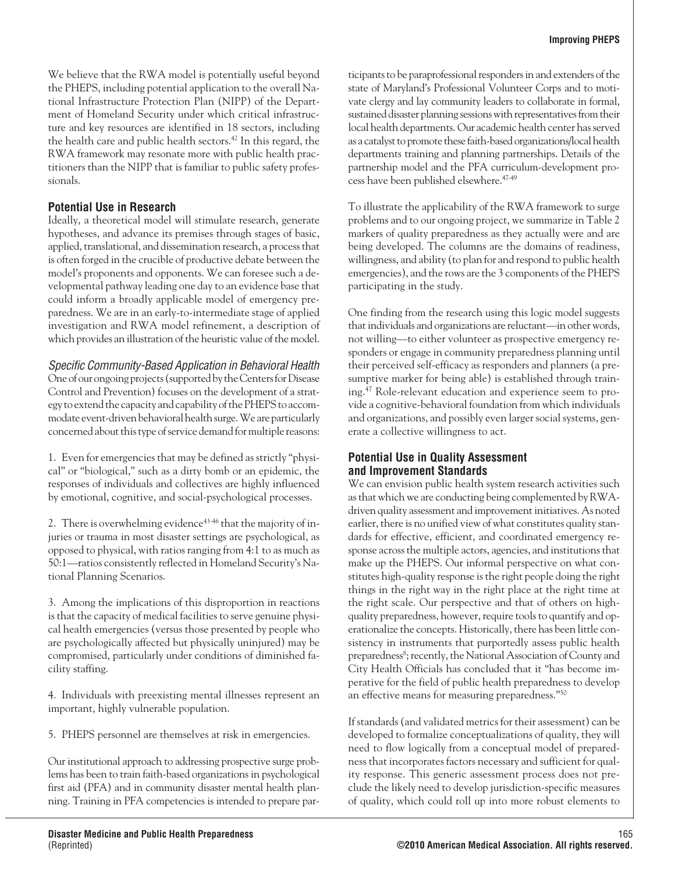We believe that the RWA model is potentially useful beyond the PHEPS, including potential application to the overall National Infrastructure Protection Plan (NIPP) of the Department of Homeland Security under which critical infrastructure and key resources are identified in 18 sectors, including the health care and public health sectors.<sup>42</sup> In this regard, the RWA framework may resonate more with public health practitioners than the NIPP that is familiar to public safety professionals.

### **Potential Use in Research**

Ideally, a theoretical model will stimulate research, generate hypotheses, and advance its premises through stages of basic, applied, translational, and dissemination research, a process that is often forged in the crucible of productive debate between the model's proponents and opponents. We can foresee such a developmental pathway leading one day to an evidence base that could inform a broadly applicable model of emergency preparedness. We are in an early-to-intermediate stage of applied investigation and RWA model refinement, a description of which provides an illustration of the heuristic value of the model.

### *Specific Community-Based Application in Behavioral Health*

One of our ongoing projects (supported by the Centersfor Disease Control and Prevention) focuses on the development of a strategy to extend the capacity and capability of the PHEPS to accommodate event-driven behavioral health surge.We are particularly concerned about this type of service demandfor multiple reasons:

1. Even for emergencies that may be defined as strictly "physical" or "biological," such as a dirty bomb or an epidemic, the responses of individuals and collectives are highly influenced by emotional, cognitive, and social-psychological processes.

2. There is overwhelming evidence<sup>43-46</sup> that the majority of injuries or trauma in most disaster settings are psychological, as opposed to physical, with ratios ranging from 4:1 to as much as 50:1—ratios consistently reflected in Homeland Security's National Planning Scenarios.

3. Among the implications of this disproportion in reactions is that the capacity of medical facilities to serve genuine physical health emergencies (versus those presented by people who are psychologically affected but physically uninjured) may be compromised, particularly under conditions of diminished facility staffing.

4. Individuals with preexisting mental illnesses represent an important, highly vulnerable population.

5. PHEPS personnel are themselves at risk in emergencies.

Our institutional approach to addressing prospective surge problems has been to train faith-based organizations in psychological first aid (PFA) and in community disaster mental health planning. Training in PFA competencies is intended to prepare participants to be paraprofessional responders in and extenders of the state of Maryland's Professional Volunteer Corps and to motivate clergy and lay community leaders to collaborate in formal, sustained disaster planning sessions with representatives from their local health departments. Our academic health center has served as a catalyst to promote these faith-based organizations/local health departments training and planning partnerships. Details of the partnership model and the PFA curriculum-development process have been published elsewhere.47-49

To illustrate the applicability of the RWA framework to surge problems and to our ongoing project, we summarize in Table 2 markers of quality preparedness as they actually were and are being developed. The columns are the domains of readiness, willingness, and ability (to plan for and respond to public health emergencies), and the rows are the 3 components of the PHEPS participating in the study.

One finding from the research using this logic model suggests that individuals and organizations are reluctant—in other words, not willing—to either volunteer as prospective emergency responders or engage in community preparedness planning until their perceived self-efficacy as responders and planners (a presumptive marker for being able) is established through training.47 Role-relevant education and experience seem to provide a cognitive-behavioral foundation from which individuals and organizations, and possibly even larger social systems, generate a collective willingness to act.

### **Potential Use in Quality Assessment and Improvement Standards**

We can envision public health system research activities such as that which we are conducting being complemented by RWAdriven quality assessment and improvement initiatives. As noted earlier, there is no unified view of what constitutes quality standards for effective, efficient, and coordinated emergency response across the multiple actors, agencies, and institutions that make up the PHEPS. Our informal perspective on what constitutes high-quality response is the right people doing the right things in the right way in the right place at the right time at the right scale. Our perspective and that of others on highquality preparedness, however, require tools to quantify and operationalize the concepts. Historically, there has been little consistency in instruments that purportedly assess public health preparedness<sup>8</sup>; recently, the National Association of County and City Health Officials has concluded that it "has become imperative for the field of public health preparedness to develop an effective means for measuring preparedness."50

If standards (and validated metrics for their assessment) can be developed to formalize conceptualizations of quality, they will need to flow logically from a conceptual model of preparedness that incorporates factors necessary and sufficient for quality response. This generic assessment process does not preclude the likely need to develop jurisdiction-specific measures of quality, which could roll up into more robust elements to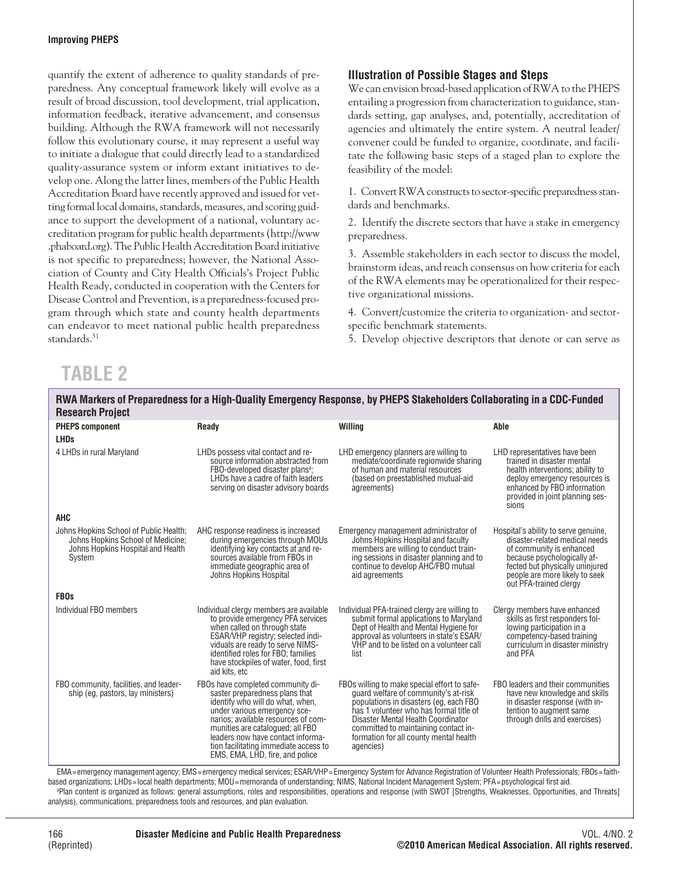#### **Improving PHEPS**

quantify the extent of adherence to quality standards of preparedness. Any conceptual framework likely will evolve as a result of broad discussion, tool development, trial application, information feedback, iterative advancement, and consensus building. Although the RWA framework will not necessarily follow this evolutionary course, it may represent a useful way to initiate a dialogue that could directly lead to a standardized quality-assurance system or inform extant initiatives to develop one. Along the latter lines, members of the Public Health Accreditation Board have recently approved and issued for vetting formal local domains, standards, measures, and scoring guidance to support the development of a national, voluntary accreditation program for public health departments (http://www .phaboard.org). The Public Health Accreditation Board initiative is not specific to preparedness; however, the National Association of County and City Health Officials's Project Public Health Ready, conducted in cooperation with the Centers for Disease Control and Prevention, is a preparedness-focused program through which state and county health departments can endeavor to meet national public health preparedness standards.<sup>51</sup>

### **Illustration of Possible Stages and Steps**

We can envision broad-based application of RWA to the PHEPS entailing a progression from characterization to guidance, standards setting, gap analyses, and, potentially, accreditation of agencies and ultimately the entire system. A neutral leader/ convener could be funded to organize, coordinate, and facilitate the following basic steps of a staged plan to explore the feasibility of the model:

1. Convert RWA constructs to sector-specific preparedness standards and benchmarks.

2. Identify the discrete sectors that have a stake in emergency preparedness.

3. Assemble stakeholders in each sector to discuss the model, brainstorm ideas, and reach consensus on how criteria for each of the RWA elements may be operationalized for their respective organizational missions.

4. Convert/customize the criteria to organization- and sectorspecific benchmark statements.

5. Develop objective descriptors that denote or can serve as

# **TABLE 2**

| RWA Markers of Preparedness for a High-Quality Emergency Response, by PHEPS Stakeholders Collaborating in a CDC-Funded<br><b>Research Project</b> |                                                                                                                                                                                                                                                                                                                                     |                                                                                                                                                                                                                                                                                                                |                                                                                                                                                                                                                                  |  |
|---------------------------------------------------------------------------------------------------------------------------------------------------|-------------------------------------------------------------------------------------------------------------------------------------------------------------------------------------------------------------------------------------------------------------------------------------------------------------------------------------|----------------------------------------------------------------------------------------------------------------------------------------------------------------------------------------------------------------------------------------------------------------------------------------------------------------|----------------------------------------------------------------------------------------------------------------------------------------------------------------------------------------------------------------------------------|--|
| <b>PHEPS component</b>                                                                                                                            | <b>Ready</b>                                                                                                                                                                                                                                                                                                                        | Willing                                                                                                                                                                                                                                                                                                        | Able                                                                                                                                                                                                                             |  |
| <b>LHDs</b>                                                                                                                                       |                                                                                                                                                                                                                                                                                                                                     |                                                                                                                                                                                                                                                                                                                |                                                                                                                                                                                                                                  |  |
| 4 LHDs in rural Maryland                                                                                                                          | LHDs possess vital contact and re-<br>source information abstracted from<br>FBO-developed disaster plans <sup>a</sup> ;<br>LHDs have a cadre of faith leaders<br>serving on disaster advisory boards                                                                                                                                | LHD emergency planners are willing to<br>mediate/coordinate regionwide sharing<br>of human and material resources<br>(based on preestablished mutual-aid<br>agreements)                                                                                                                                        | LHD representatives have been<br>trained in disaster mental<br>health interventions; ability to<br>deploy emergency resources is<br>enhanced by FBO information<br>provided in joint planning ses-<br>sions                      |  |
| <b>AHC</b>                                                                                                                                        |                                                                                                                                                                                                                                                                                                                                     |                                                                                                                                                                                                                                                                                                                |                                                                                                                                                                                                                                  |  |
| Johns Hopkins School of Public Health;<br>Johns Hopkins School of Medicine;<br>Johns Hopkins Hospital and Health<br>System                        | AHC response readiness is increased<br>during emergencies through MOUs<br>identifying key contacts at and re-<br>sources available from FBOs in<br>immediate geographic area of<br>Johns Hopkins Hospital                                                                                                                           | Emergency management administrator of<br>Johns Hopkins Hospital and faculty<br>members are willing to conduct train-<br>ing sessions in disaster planning and to<br>continue to develop AHC/FBO mutual<br>aid agreements                                                                                       | Hospital's ability to serve genuine,<br>disaster-related medical needs<br>of community is enhanced<br>because psychologically af-<br>fected but physically uninjured<br>people are more likely to seek<br>out PFA-trained clergy |  |
| <b>FBOs</b>                                                                                                                                       |                                                                                                                                                                                                                                                                                                                                     |                                                                                                                                                                                                                                                                                                                |                                                                                                                                                                                                                                  |  |
| Individual FBO members                                                                                                                            | Individual clergy members are available<br>to provide emergency PFA services<br>when called on through state<br>ESAR/VHP registry; selected indi-<br>viduals are ready to serve NIMS-<br>identified roles for FBO; families<br>have stockpiles of water, food, first<br>aid kits, etc                                               | Individual PFA-trained clergy are willing to<br>submit formal applications to Maryland<br>Dept of Health and Mental Hygiene for<br>approval as volunteers in state's ESAR/<br>VHP and to be listed on a volunteer call<br>list                                                                                 | Clergy members have enhanced<br>skills as first responders fol-<br>lowing participation in a<br>competency-based training<br>curriculum in disaster ministry<br>and PFA                                                          |  |
| FBO community, facilities, and leader-<br>ship (eq. pastors, lay ministers)                                                                       | FBOs have completed community di-<br>saster preparedness plans that<br>identify who will do what, when,<br>under various emergency sce-<br>narios; available resources of com-<br>munities are catalogued; all FBO<br>leaders now have contact informa-<br>tion facilitating immediate access to<br>EMS, EMA, LHD, fire, and police | FBOs willing to make special effort to safe-<br>guard welfare of community's at-risk<br>populations in disasters (eg, each FBO<br>has 1 volunteer who has formal title of<br>Disaster Mental Health Coordinator<br>committed to maintaining contact in-<br>formation for all county mental health<br>agencies) | FBO leaders and their communities<br>have new knowledge and skills<br>in disaster response (with in-<br>tention to augment same<br>through drills and exercises)                                                                 |  |

EMA=emergency management agency; EMS=emergency medical services; ESAR/VHP=Emergency System for Advance Registration of Volunteer Health Professionals; FBOs=faithbased organizations; LHDs=local health departments; MOU=memoranda of understanding; NIMS, National Incident Management System; PFA=psychological first aid. a Plan content is organized as follows: general assumptions, roles and responsibilities, operations and response (with SWOT [Strengths, Weaknesses, Opportunities, and Threats] analysis), communications, preparedness tools and resources, and plan evaluation.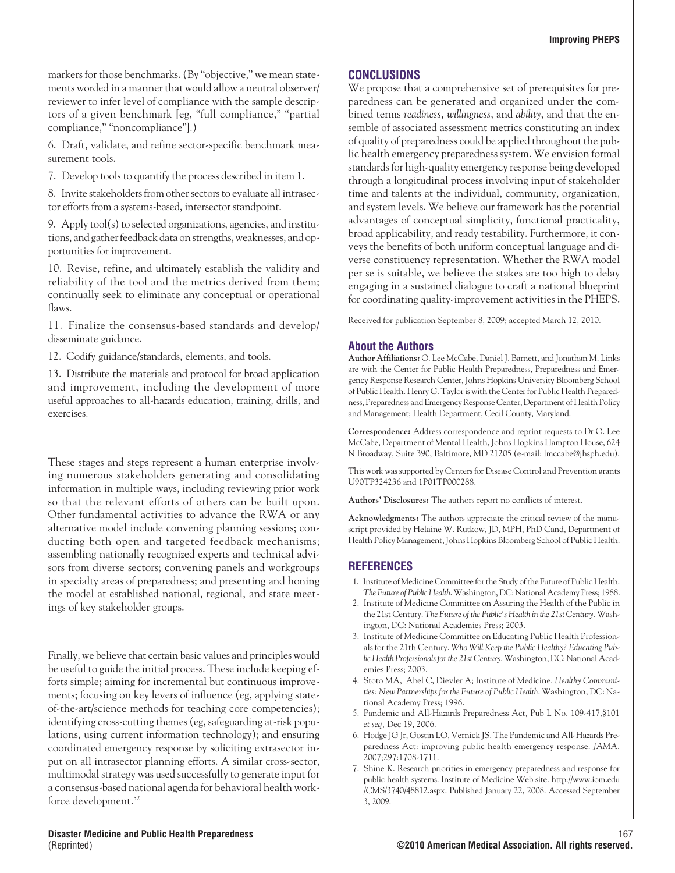markers for those benchmarks. (By "objective," we mean statements worded in a manner that would allow a neutral observer/ reviewer to infer level of compliance with the sample descriptors of a given benchmark [eg, "full compliance," "partial compliance," "noncompliance"].)

6. Draft, validate, and refine sector-specific benchmark measurement tools.

7. Develop tools to quantify the process described in item 1.

8. Invite stakeholders from other sectors to evaluate all intrasector efforts from a systems-based, intersector standpoint.

9. Apply tool(s) to selected organizations, agencies, and institutions, and gather feedback data on strengths, weaknesses, and opportunities for improvement.

10. Revise, refine, and ultimately establish the validity and reliability of the tool and the metrics derived from them; continually seek to eliminate any conceptual or operational flaws.

11. Finalize the consensus-based standards and develop/ disseminate guidance.

12. Codify guidance/standards, elements, and tools.

13. Distribute the materials and protocol for broad application and improvement, including the development of more useful approaches to all-hazards education, training, drills, and exercises.

These stages and steps represent a human enterprise involving numerous stakeholders generating and consolidating information in multiple ways, including reviewing prior work so that the relevant efforts of others can be built upon. Other fundamental activities to advance the RWA or any alternative model include convening planning sessions; conducting both open and targeted feedback mechanisms; assembling nationally recognized experts and technical advisors from diverse sectors; convening panels and workgroups in specialty areas of preparedness; and presenting and honing the model at established national, regional, and state meetings of key stakeholder groups.

Finally, we believe that certain basic values and principles would be useful to guide the initial process. These include keeping efforts simple; aiming for incremental but continuous improvements; focusing on key levers of influence (eg, applying stateof-the-art/science methods for teaching core competencies); identifying cross-cutting themes (eg, safeguarding at-risk populations, using current information technology); and ensuring coordinated emergency response by soliciting extrasector input on all intrasector planning efforts. A similar cross-sector, multimodal strategy was used successfully to generate input for a consensus-based national agenda for behavioral health workforce development.52

### **CONCLUSIONS**

We propose that a comprehensive set of prerequisites for preparedness can be generated and organized under the combined terms *readiness*, *willingness*, and *ability*, and that the ensemble of associated assessment metrics constituting an index of quality of preparedness could be applied throughout the public health emergency preparedness system. We envision formal standards for high-quality emergency response being developed through a longitudinal process involving input of stakeholder time and talents at the individual, community, organization, and system levels. We believe our framework has the potential advantages of conceptual simplicity, functional practicality, broad applicability, and ready testability. Furthermore, it conveys the benefits of both uniform conceptual language and diverse constituency representation. Whether the RWA model per se is suitable, we believe the stakes are too high to delay engaging in a sustained dialogue to craft a national blueprint for coordinating quality-improvement activities in the PHEPS.

Received for publication September 8, 2009; accepted March 12, 2010.

### **About the Authors**

**Author Affiliations:** O. Lee McCabe, Daniel J. Barnett, and Jonathan M. Links are with the Center for Public Health Preparedness, Preparedness and Emergency Response Research Center, Johns Hopkins University Bloomberg School of Public Health. Henry G. Taylor is with the Center for Public Health Preparedness, Preparedness and Emergency Response Center, Department of Health Policy and Management; Health Department, Cecil County, Maryland.

**Correspondence:** Address correspondence and reprint requests to Dr O. Lee McCabe, Department of Mental Health, Johns Hopkins Hampton House, 624 N Broadway, Suite 390, Baltimore, MD 21205 (e-mail: lmccabe@jhsph.edu).

This work was supported by Centers for Disease Control and Prevention grants U90TP324236 and 1P01TP000288.

**Authors' Disclosures:** The authors report no conflicts of interest.

**Acknowledgments:** The authors appreciate the critical review of the manuscript provided by Helaine W. Rutkow, JD, MPH, PhD Cand, Department of Health Policy Management, Johns Hopkins Bloomberg School of Public Health.

### **REFERENCES**

- 1. Institute of Medicine Committee for the Study of the Future of Public Health. *The Future of Public Health*.Washington, DC: National Academy Press; 1988.
- 2. Institute of Medicine Committee on Assuring the Health of the Public in the 21st Century. *The Future of the Public's Health in the 21st Century*. Washington, DC: National Academies Press; 2003.
- 3. Institute of Medicine Committee on Educating Public Health Professionals for the 21th Century. *Who Will Keep the Public Healthy? Educating Public Health Professionals for the 21st Century*.Washington, DC: National Academies Press; 2003.
- 4. Stoto MA, Abel C, Dievler A; Institute of Medicine. *Healthy Communities: New Partnerships for the Future of Public Health*. Washington, DC: National Academy Press; 1996.
- 5. Pandemic and All-Hazards Preparedness Act, Pub L No. 109-417,§101 *et seq,* Dec 19, 2006.
- 6. Hodge JG Jr, Gostin LO, Vernick JS. The Pandemic and All-Hazards Preparedness Act: improving public health emergency response. *JAMA*. 2007;297:1708-1711.
- 7. Shine K. Research priorities in emergency preparedness and response for public health systems. Institute of Medicine Web site. http://www.iom.edu /CMS/3740/48812.aspx. Published January 22, 2008. Accessed September 3, 2009.